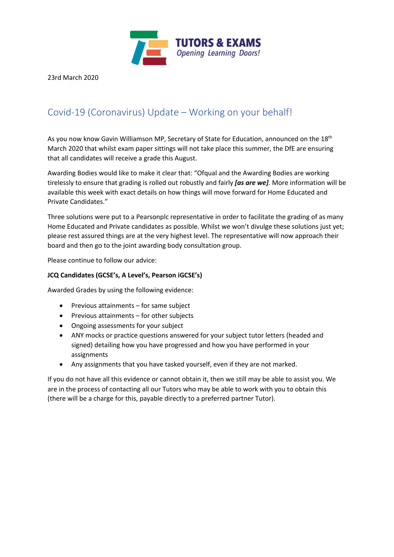

23rd March 2020

## Covid-19 (Coronavirus) Update – Working on your behalf!

As you now know Gavin Williamson MP, Secretary of State for Education, announced on the 18<sup>th</sup> March 2020 that whilst exam paper sittings will not take place this summer, the DfE are ensuring that all candidates will receive a grade this August.

Awarding Bodies would like to make it clear that: "Ofqual and the Awarding Bodies are working tirelessly to ensure that grading is rolled out robustly and fairly *[as are we]*. More information will be available this week with exact details on how things will move forward for Home Educated and Private Candidates."

Three solutions were put to a Pearsonplc representative in order to facilitate the grading of as many Home Educated and Private candidates as possible. Whilst we won't divulge these solutions just yet; please rest assured things are at the very highest level. The representative will now approach their board and then go to the joint awarding body consultation group.

Please continue to follow our advice:

## **JCQ Candidates (GCSE's, A Level's, Pearson iGCSE's)**

Awarded Grades by using the following evidence:

- Previous attainments for same subject
- Previous attainments for other subjects
- Ongoing assessments for your subject
- ANY mocks or practice questions answered for your subject tutor letters (headed and signed) detailing how you have progressed and how you have performed in your assignments
- Any assignments that you have tasked yourself, even if they are not marked.

If you do not have all this evidence or cannot obtain it, then we still may be able to assist you. We are in the process of contacting all our Tutors who may be able to work with you to obtain this (there will be a charge for this, payable directly to a preferred partner Tutor).